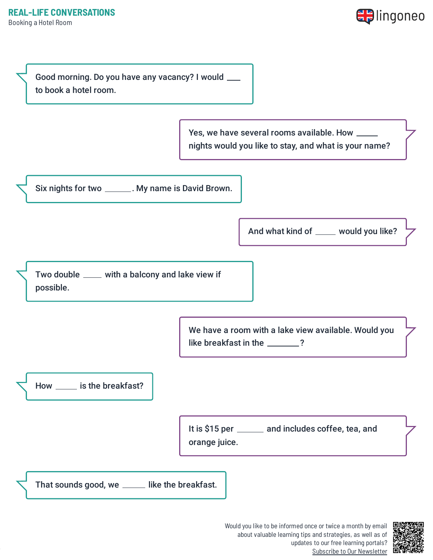



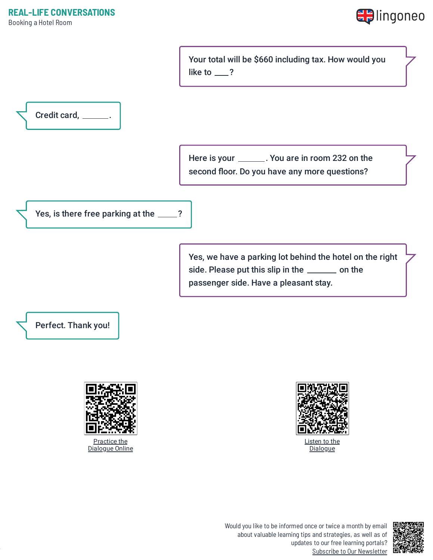

Your total will be \$660 including tax. How would you like to  $\_\$ ?



Here is your \_\_\_\_\_\_\_. You are in room 232 on the second floor. Do you have any more questions?

Yes, is there free parking at the \_\_\_\_?

Yes, we have a parking lot behind the hotel on the right side. Please put this slip in the \_\_\_\_\_\_ on the passenger side. Have a pleasant stay.

Perfect. Thank you!





Listen to the **[Dialogue](https://www.lingoneo.org/wp-content/uploads/media/audio/audio-dialogue/en-en/Booking%20a%20Hotel%20Room%20-%20Dialogue%20(%20lingoneo.org%20).mp3)** 



Would you like to be informed once or twice a month by email about valuable learning tips and strategies, as well as of updates to our free learning portals? Subscribe to Our [Newsletter](https://www.lingoneo.org/learn-english?channel=emailcampaignnewsletter&tcontent=so-m-27&tsource=srt_source)